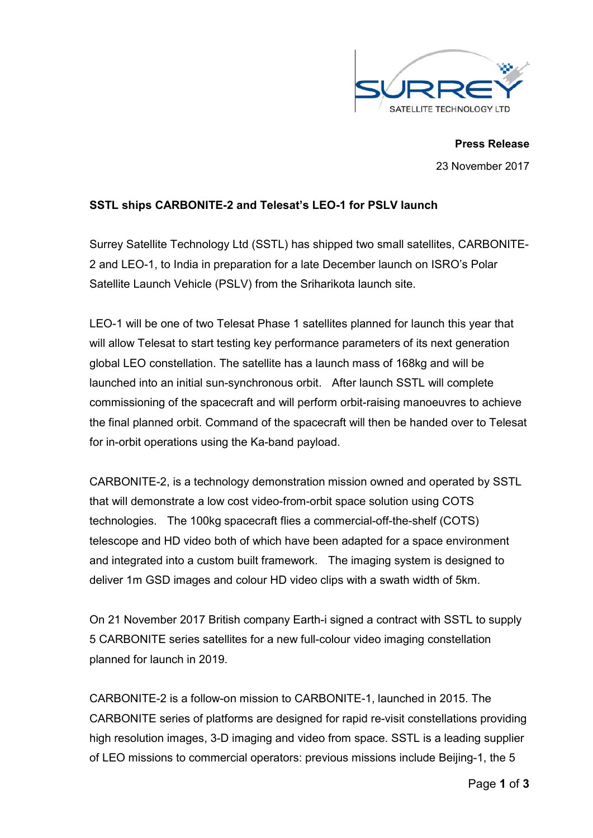

**Press Release** 23 November 2017

# **SSTL ships CARBONITE-2 and Telesat's LEO-1 for PSLV launch**

Surrey Satellite Technology Ltd (SSTL) has shipped two small satellites, CARBONITE-2 and LEO-1, to India in preparation for a late December launch on ISRO's Polar Satellite Launch Vehicle (PSLV) from the Sriharikota launch site.

LEO-1 will be one of two Telesat Phase 1 satellites planned for launch this year that will allow Telesat to start testing key performance parameters of its next generation global LEO constellation. The satellite has a launch mass of 168kg and will be launched into an initial sun-synchronous orbit. After launch SSTL will complete commissioning of the spacecraft and will perform orbit-raising manoeuvres to achieve the final planned orbit. Command of the spacecraft will then be handed over to Telesat for in-orbit operations using the Ka-band payload.

CARBONITE-2, is a technology demonstration mission owned and operated by SSTL that will demonstrate a low cost video-from-orbit space solution using COTS technologies. The 100kg spacecraft flies a commercial-off-the-shelf (COTS) telescope and HD video both of which have been adapted for a space environment and integrated into a custom built framework. The imaging system is designed to deliver 1m GSD images and colour HD video clips with a swath width of 5km.

On 21 November 2017 British company Earth-i signed a contract with SSTL to supply 5 CARBONITE series satellites for a new full-colour video imaging constellation planned for launch in 2019.

CARBONITE-2 is a follow-on mission to CARBONITE-1, launched in 2015. The CARBONITE series of platforms are designed for rapid re-visit constellations providing high resolution images, 3-D imaging and video from space. SSTL is a leading supplier of LEO missions to commercial operators: previous missions include Beijing-1, the 5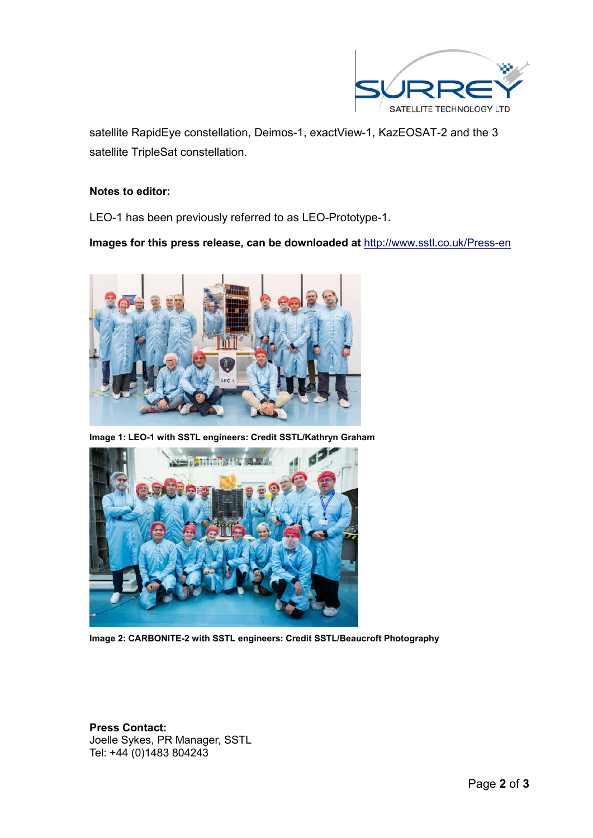

satellite RapidEye constellation, Deimos-1, exactView-1, KazEOSAT-2 and the 3 satellite TripleSat constellation.

### **Notes to editor:**

LEO-1 has been previously referred to as LEO-Prototype-1**.** 

**Images for this press release, can be downloaded at** http://www.sstl.co.uk/Press-en



**Image 1: LEO-1 with SSTL engineers: Credit SSTL/Kathryn Graham**



**Image 2: CARBONITE-2 with SSTL engineers: Credit SSTL/Beaucroft Photography**

**Press Contact:** Joelle Sykes, PR Manager, SSTL Tel: +44 (0)1483 804243